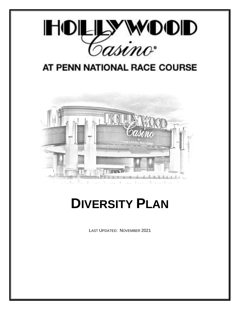

# AT PENN NATIONAL RACE COURSE



# **DIVERSITY PLAN**

LAST UPDATED: NOVEMBER 2021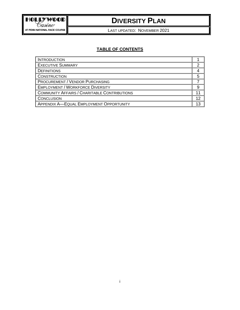

LAST UPDATED: NOVEMBER 2021

#### **TABLE OF CONTENTS**

| <b>INTRODUCTION</b>                          |    |
|----------------------------------------------|----|
| <b>EXECUTIVE SUMMARY</b>                     |    |
| <b>DEFINITIONS</b>                           |    |
| <b>CONSTRUCTION</b>                          |    |
| <b>PROCUREMENT / VENDOR PURCHASING</b>       |    |
| <b>EMPLOYMENT / WORKFORCE DIVERSITY</b>      |    |
| COMMUNITY AFFAIRS / CHARITABLE CONTRIBUTIONS |    |
| CONCLUSION                                   | 12 |
| APPENDIX A-EQUAL EMPLOYMENT OPPORTUNITY      |    |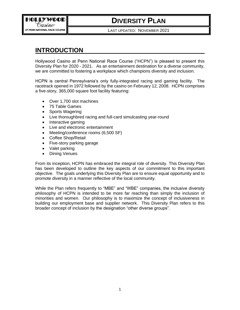LAST UPDATED: NOVEMBER 2021

### <span id="page-2-0"></span>**INTRODUCTION**

Hollywood Casino at Penn National Race Course ("HCPN") is pleased to present this Diversity Plan for 2020 - 2021. As an entertainment destination for a diverse community, we are committed to fostering a workplace which champions diversity and inclusion.

HCPN is central Pennsylvania's only fully-integrated racing and gaming facility. The racetrack opened in 1972 followed by the casino on February 12, 2008. HCPN comprises a five-story, 365,000 square foot facility featuring:

- Over 1,700 slot machines
- 75 Table Games
- Sports Wagering
- Live thoroughbred racing and full-card simulcasting year-round
- Interactive gaming
- Live and electronic entertainment
- Meeting/conference rooms (6,500 SF)
- Coffee Shop/Retail
- Five-story parking garage
- Valet parking
- Dining Venues

From its inception, HCPN has embraced the integral role of diversity. This Diversity Plan has been developed to outline the key aspects of our commitment to this important objective. The goals underlying this Diversity Plan are to ensure equal opportunity and to promote diversity in a manner reflective of the local community.

While the Plan refers frequently to "MBE" and "WBE" companies, the inclusive diversity philosophy of HCPN is intended to be more far reaching than simply the inclusion of minorities and women. Our philosophy is to maximize the concept of inclusiveness in building our employment base and supplier network. This Diversity Plan refers to this broader concept of inclusion by the designation "other diverse groups".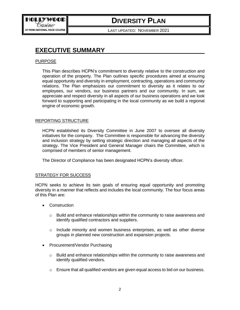<span id="page-3-0"></span>LAST UPDATED: NOVEMBER 2021

### **EXECUTIVE SUMMARY**

#### PURPOSE

This Plan describes HCPN's commitment to diversity relative to the construction and operation of the property. The Plan outlines specific procedures aimed at ensuring equal opportunity and diversity in employment, contracting, operations and community relations. The Plan emphasizes our commitment to diversity as it relates to our employees, our vendors, our business partners and our community. In sum, we appreciate and respect diversity in all aspects of our business operations and we look forward to supporting and participating in the local community as we build a regional engine of economic growth.

#### REPORTING STRUCTURE

HCPN established its Diversity Committee in June 2007 to oversee all diversity initiatives for the company. The Committee is responsible for advancing the diversity and inclusion strategy by setting strategic direction and managing all aspects of the strategy. The Vice President and General Manager chairs the Committee, which is comprised of members of senior management.

The Director of Compliance has been designated HCPN's diversity officer.

#### STRATEGY FOR SUCCESS

HCPN seeks to achieve its twin goals of ensuring equal opportunity and promoting diversity in a manner that reflects and includes the local community. The four focus areas of this Plan are:

- Construction
	- o Build and enhance relationships within the community to raise awareness and identify qualified contractors and suppliers.
	- $\circ$  Include minority and women business enterprises, as well as other diverse groups in planned new construction and expansion projects.
- Procurement/Vendor Purchasing
	- $\circ$  Build and enhance relationships within the community to raise awareness and identify qualified vendors.
	- $\circ$  Ensure that all qualified vendors are given equal access to bid on our business.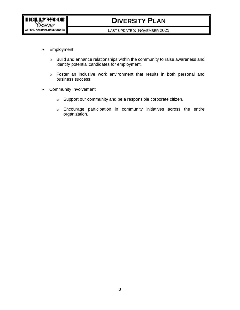LAST UPDATED: NOVEMBER 2021

- Employment
	- o Build and enhance relationships within the community to raise awareness and identify potential candidates for employment.
	- o Foster an inclusive work environment that results in both personal and business success.
- Community Involvement
	- o Support our community and be a responsible corporate citizen.
	- o Encourage participation in community initiatives across the entire organization.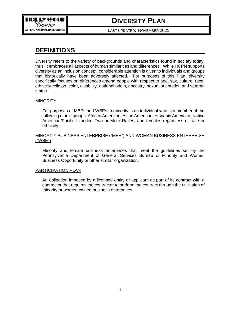

LAST UPDATED: NOVEMBER 2021

### <span id="page-5-0"></span>**DEFINITIONS**

Diversity refers to the variety of backgrounds and characteristics found in society today; thus, it embraces all aspects of human similarities and differences. While HCPN supports diversity as an inclusion concept, considerable attention is given to individuals and groups that historically have been adversely affected. For purposes of this Plan, diversity specifically focuses on differences among people with respect to age, sex, culture, race, ethnicity religion, color, disability, national origin, ancestry, sexual orientation and veteran status.

#### **MINORITY**

For purposes of MBEs and WBEs, a minority is an individual who is a member of the following ethnic groups: African American, Asian American, Hispanic American, Native American/Pacific Islander, Two or More Races, and females regardless of race or ethnicity.

#### MINORITY BUSINESS ENTERPRISE ("MBE") AND WOMAN BUSINESS ENTERPRISE ("WBE")

Minority and female business enterprises that meet the guidelines set by the Pennsylvania Department of General Services Bureau of Minority and Women Business Opportunity or other similar organization.

#### PARTICIPATION PLAN

An obligation imposed by a licensed entity or applicant as part of its contract with a contractor that requires the contractor to perform the contract through the utilization of minority or women owned business enterprises.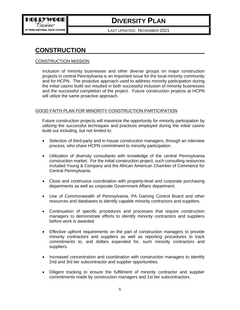

LAST UPDATED: NOVEMBER 2021

### <span id="page-6-0"></span>**CONSTRUCTION**

#### CONSTRUCTION MISSION

Inclusion of minority businesses and other diverse groups on major construction projects in central Pennsylvania is an important issue for the local minority community and for HCPN. The proactive approach used to address minority participation during the initial casino build out resulted in both successful inclusion of minority businesses and the successful completion of the project. Future construction projects at HCPN will utilize the same proactive approach.

#### GOOD FAITH PLAN FOR MINORITY CONSTRUCTION PARTICIPATION

Future construction projects will maximize the opportunity for minority participation by utilizing the successful techniques and practices employed during the initial casino build out including, but not limited to:

- Selection of third-party and in-house construction managers, through an interview process, who share HCPN commitment to minority participation.
- Utilization of diversity consultants with knowledge of the central Pennsylvania construction market. For the initial construction project, such consulting resources included Young & Company and the African American Chamber of Commerce for Central Pennsylvania.
- Close and continuous coordination with property-level and corporate purchasing departments as well as corporate Government Affairs department.
- Use of Commonwealth of Pennsylvania, PA Gaming Control Board and other resources and databases to identify capable minority contractors and suppliers.
- Continuation of specific procedures and processes that require construction managers to demonstrate efforts to identify minority contractors and suppliers before work is awarded.
- Effective upfront requirements on the part of construction managers to provide minority contractors and suppliers as well as reporting procedures to track commitments to, and dollars expended for, such minority contractors and suppliers.
- Increased concentration and coordination with construction managers to identify 2nd and 3rd tier subcontractor and supplier opportunities.
- Diligent tracking to ensure the fulfillment of minority contractor and supplier commitments made by construction managers and 1st tier subcontractors.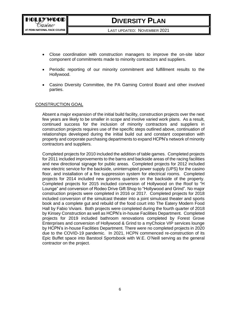LAST UPDATED: NOVEMBER 2021

- Close coordination with construction managers to improve the on-site labor component of commitments made to minority contractors and suppliers.
- Periodic reporting of our minority commitment and fulfillment results to the Hollywood.
- Casino Diversity Committee, the PA Gaming Control Board and other involved parties.

#### CONSTRUCTION GOAL

Absent a major expansion of the initial build facility, construction projects over the next few years are likely to be smaller in scope and involve varied work plans. As a result, continued success for the inclusion of minority contractors and suppliers in construction projects requires use of the specific steps outlined above, continuation of relationships developed during the initial build out and constant cooperation with property and corporate purchasing departments to expand HCPN's network of minority contractors and suppliers.

Completed projects for 2010 included the addition of table games. Completed projects for 2011 included improvements to the barns and backside areas of the racing facilities and new directional signage for public areas. Completed projects for 2012 included new electric service for the backside, uninterrupted power supply (UPS) for the casino floor, and installation of a fire suppression system for electrical rooms. Completed projects for 2014 included new grooms quarters on the backside of the property. Completed projects for 2015 included conversion of Hollywood on the Roof to "H Lounge" and conversion of Rodeo Drive Gift Shop to "Hollywood and Grind". No major construction projects were completed in 2016 or 2017. Completed projects for 2018 included conversion of the simulcast theater into a joint simulcast theater and sports book and a complete gut and rebuild of the food court into The Eatery Modern Food Hall by Fabio Viviani. Both projects were completed during the fourth quarter of 2018 by Kinsey Construction as well as HCPN's in-house Facilities Department. Completed projects for 2019 included bathroom renovations completed by Forest Grove Enterprises and conversion of Hollywood & Grind to a myChoice VIP services lounge by HCPN's in-house Facilities Department. There were no completed projects in 2020 due to the COVID-19 pandemic. In 2021, HCPN commenced re-construction of its Epic Buffet space into Barstool Sportsbook with W.E. O'Neill serving as the general contractor on the project.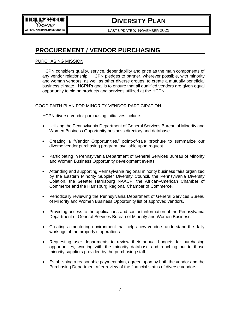<span id="page-8-0"></span>LAST UPDATED: NOVEMBER 2021

### **PROCUREMENT / VENDOR PURCHASING**

#### PURCHASING MISSION

HCPN considers quality, service, dependability and price as the main components of any vendor relationship. HCPN pledges to partner, wherever possible, with minority and woman vendors, as well as other diverse groups, to create a mutually beneficial business climate. HCPN's goal is to ensure that all qualified vendors are given equal opportunity to bid on products and services utilized at the HCPN.

#### GOOD FAITH PLAN FOR MINORITY VENDOR PARTICIPATION

HCPN diverse vendor purchasing initiatives include:

- Utilizing the Pennsylvania Department of General Services Bureau of Minority and Women Business Opportunity business directory and database.
- Creating a "Vendor Opportunities," point-of-sale brochure to summarize our diverse vendor purchasing program, available upon request.
- Participating in Pennsylvania Department of General Services Bureau of Minority and Women Business Opportunity development events.
- Attending and supporting Pennsylvania regional minority business fairs organized by the Eastern Minority Supplier Diversity Council, the Pennsylvania Diversity Colation, the Greater Harrisburg NAACP, the African-American Chamber of Commerce and the Harrisburg Regional Chamber of Commerce.
- Periodically reviewing the Pennsylvania Department of General Services Bureau of Minority and Women Business Opportunity list of approved vendors.
- Providing access to the applications and contact information of the Pennsylvania Department of General Services Bureau of Minority and Women Business.
- Creating a mentoring environment that helps new vendors understand the daily workings of the property's operations.
- Requesting user departments to review their annual budgets for purchasing opportunities, working with the minority database and reaching out to those minority suppliers provided by the purchasing staff.
- Establishing a reasonable payment plan, agreed upon by both the vendor and the Purchasing Department after review of the financial status of diverse vendors.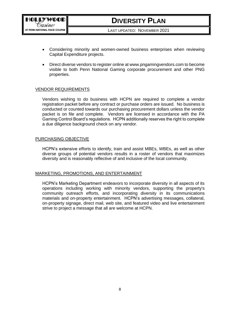LAST UPDATED: NOVEMBER 2021

- Considering minority and women-owned business enterprises when reviewing Capital Expenditure projects.
- Direct diverse vendors to register online at www.pngamingvendors.com to become visible to both Penn National Gaming corporate procurement and other PNG properties.

#### VENDOR REQUIREMENTS

Vendors wishing to do business with HCPN are required to complete a vendor registration packet before any contract or purchase orders are issued. No business is conducted or counted towards our purchasing procurement dollars unless the vendor packet is on file and complete. Vendors are licensed in accordance with the PA Gaming Control Board's regulations. HCPN additionally reserves the right to complete a due diligence background check on any vendor.

#### PURCHASING OBJECTIVE

HCPN's extensive efforts to identify, train and assist MBEs, WBEs, as well as other diverse groups of potential vendors results in a roster of vendors that maximizes diversity and is reasonably reflective of and inclusive of the local community.

#### MARKETING, PROMOTIONS, AND ENTERTAINMENT

HCPN's Marketing Department endeavors to incorporate diversity in all aspects of its operations including working with minority vendors, supporting the property's community outreach efforts, and incorporating diversity in its communications materials and on-property entertainment. HCPN's advertising messages, collateral, on-property signage, direct mail, web site, and featured video and live entertainment strive to project a message that all are welcome at HCPN.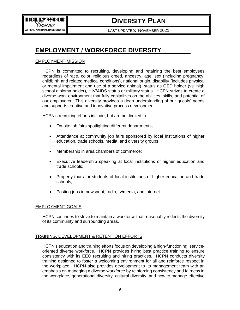<span id="page-10-0"></span>LAST UPDATED: NOVEMBER 2021

### **EMPLOYMENT / WORKFORCE DIVERSITY**

#### EMPLOYMENT MISSION

HCPN is committed to recruiting, developing and retaining the best employees regardless of race, color, religious creed, ancestry, age, sex (including pregnancy, childbirth and related medical conditions), national origin, disability (includes physical or mental impairment and use of a service animal), status as GED holder (vs. high school diploma holder), HIV/AIDS status or military status. HCPN strives to create a diverse work environment that fully capitalizes on the abilities, skills, and potential of our employees. This diversity provides a deep understanding of our guests' needs and supports creative and innovative process development.

HCPN's recruiting efforts include, but are not limited to:

- On-site job fairs spotlighting different departments;
- Attendance at community job fairs sponsored by local institutions of higher education, trade schools, media, and diversity groups;
- Membership in area chambers of commerce;
- Executive leadership speaking at local institutions of higher education and trade schools;
- Property tours for students of local institutions of higher education and trade schools;
- Posting jobs in newsprint, radio, tv/media, and internet

#### EMPLOYMENT GOALS

HCPN continues to strive to maintain a workforce that reasonably reflects the diversity of its community and surrounding areas.

#### TRAINING, DEVELOPMENT & RETENTION EFFORTS

HCPN's education and training efforts focus on developing a high-functioning, serviceoriented diverse workforce. HCPN provides hiring best practice training to ensure consistency with its EEO recruiting and hiring practices. HCPN conducts diversity training designed to foster a welcoming environment for all and reinforce respect in the workplace. HCPN also provides development to its management team with an emphasis on managing a diverse workforce by reinforcing consistency and fairness in the workplace, generational diversity, cultural diversity, and how to manage effective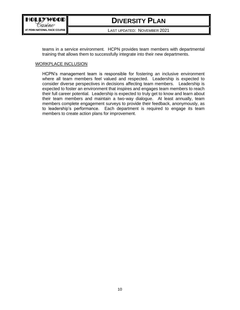

LAST UPDATED: NOVEMBER 2021

teams in a service environment. HCPN provides team members with departmental training that allows them to successfully integrate into their new departments.

#### WORKPLACE INCLUSION

HCPN's management team is responsible for fostering an inclusive environment where all team members feel valued and respected. Leadership is expected to consider diverse perspectives in decisions affecting team members. Leadership is expected to foster an environment that inspires and engages team members to reach their full career potential. Leadership is expected to truly get to know and learn about their team members and maintain a two-way dialogue. At least annually, team members complete engagement surveys to provide their feedback, anonymously, as to leadership's performance. Each department is required to engage its team members to create action plans for improvement.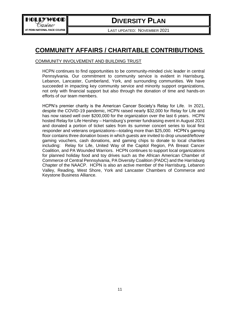

<span id="page-12-0"></span>LAST UPDATED: NOVEMBER 2021

### **COMMUNITY AFFAIRS / CHARITABLE CONTRIBUTIONS**

#### COMMUNITY INVOLVEMENT AND BUILDING TRUST

HCPN continues to find opportunities to be community-minded civic leader in central Pennsylvania. Our commitment to community service is evident in Harrisburg, Lebanon, Lancaster, Cumberland, York, and surrounding communities. We have succeeded in impacting key community service and minority support organizations, not only with financial support but also through the donation of time and hands-on efforts of our team members.

HCPN's premier charity is the American Cancer Society's Relay for Life. In 2021, despite the COVID-19 pandemic, HCPN raised nearly \$32,000 for Relay for Life and has now raised well over \$200,000 for the organization over the last 6 years. HCPN hosted Relay for Life Hershey – Harrisburg's premier fundraising event in August 2021 and donated a portion of ticket sales from its summer concert series to local first responder and veterans organizations—totaling more than \$25,000. HCPN's gaming floor contains three donation boxes in which guests are invited to drop unused/leftover gaming vouchers, cash donations, and gaming chips to donate to local charities including: Relay for Life, United Way of the Capitol Region, PA Breast Cancer Coalition, and PA Wounded Warriors. HCPN continues to support local organizations for planned holiday food and toy drives such as the African American Chamber of Commerce of Central Pennsylvania, PA Diversity Coalition (PADC) and the Harrisburg Chapter of the NAACP. HCPN is also an active member of the Harrisburg, Lebanon Valley, Reading, West Shore, York and Lancaster Chambers of Commerce and Keystone Business Alliance.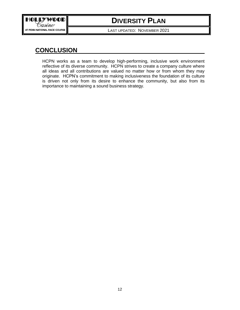

LAST UPDATED: NOVEMBER 2021

### **CONCLUSION**

<span id="page-13-0"></span>HCPN works as a team to develop high-performing, inclusive work environment reflective of its diverse community. HCPN strives to create a company culture where all ideas and all contributions are valued no matter how or from whom they may originate. HCPN's commitment to making inclusiveness the foundation of its culture is driven not only from its desire to enhance the community, but also from its importance to maintaining a sound business strategy.